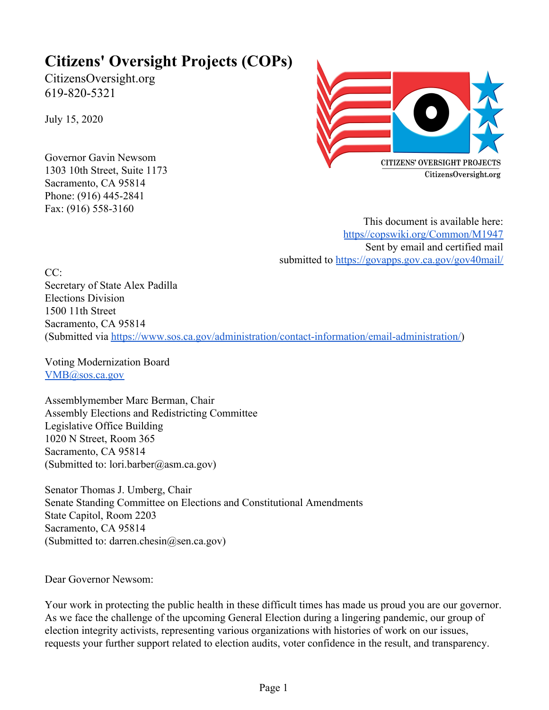# **Citizens' Oversight Projects (COPs)**

CitizensOversight.org 619-820-5321

July 15, 2020

Governor Gavin Newsom 1303 10th Street, Suite 1173 Sacramento, CA 95814 Phone: (916) 445-2841 Fax: (916) 558-3160



This document is available here: [https//copswiki.org/Common/M1947](https://copswiki.org/Common/M1947) Sent by email and certified mail submitted to<https://govapps.gov.ca.gov/gov40mail/>

 $CC<sup>2</sup>$ Secretary of State Alex Padilla Elections Division 1500 11th Street Sacramento, CA 95814 (Submitted via <https://www.sos.ca.gov/administration/contact-information/email-administration/>)

Voting Modernization Board [VMB@sos.ca.gov](mailto:VMB@sos.ca.gov)

Assemblymember Marc Berman, Chair Assembly Elections and Redistricting Committee Legislative Office Building 1020 N Street, Room 365 Sacramento, CA 95814 (Submitted to: lori.barber@asm.ca.gov)

Senator Thomas J. Umberg, Chair Senate Standing Committee on Elections and Constitutional Amendments State Capitol, Room 2203 Sacramento, CA 95814 (Submitted to: darren.chesin@sen.ca.gov)

Dear Governor Newsom:

Your work in protecting the public health in these difficult times has made us proud you are our governor. As we face the challenge of the upcoming General Election during a lingering pandemic, our group of election integrity activists, representing various organizations with histories of work on our issues, requests your further support related to election audits, voter confidence in the result, and transparency.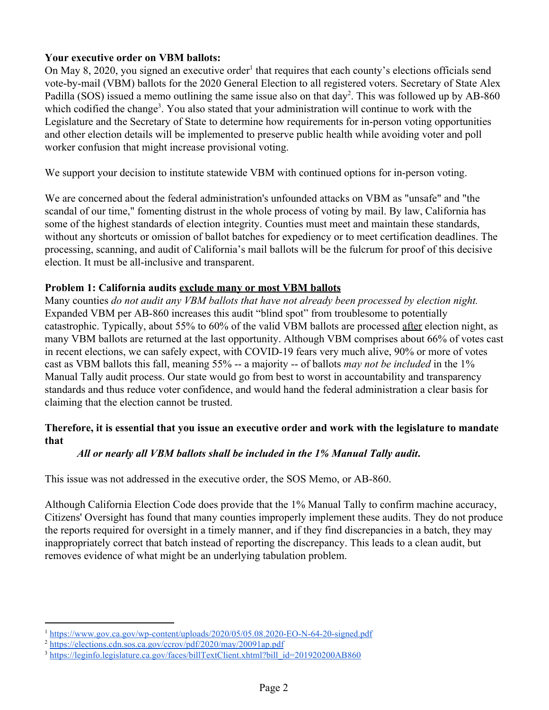## **Your executive order on VBM ballots:**

On May 8, 2020, you signed an executive order<sup>1</sup> that requires that each county's elections officials send vote-by-mail (VBM) ballots for the 2020 General Election to all registered voters. Secretary of State Alex Padilla (SOS) issued a memo outlining the same issue also on that  $day^2$ . This was followed up by AB-860 which codified the change<sup>3</sup>. You also stated that your administration will continue to work with the Legislature and the Secretary of State to determine how requirements for in-person voting opportunities and other election details will be implemented to preserve public health while avoiding voter and poll worker confusion that might increase provisional voting.

We support your decision to institute statewide VBM with continued options for in-person voting.

We are concerned about the federal administration's unfounded attacks on VBM as "unsafe" and "the scandal of our time," fomenting distrust in the whole process of voting by mail. By law, California has some of the highest standards of election integrity. Counties must meet and maintain these standards, without any shortcuts or omission of ballot batches for expediency or to meet certification deadlines. The processing, scanning, and audit of California's mail ballots will be the fulcrum for proof of this decisive election. It must be all-inclusive and transparent.

#### **Problem 1: California audits exclude many or most VBM ballots**

Many counties *do not audit any VBM ballots that have not already been processed by election night.* Expanded VBM per AB-860 increases this audit "blind spot" from troublesome to potentially catastrophic. Typically, about 55% to 60% of the valid VBM ballots are processed after election night, as many VBM ballots are returned at the last opportunity. Although VBM comprises about 66% of votes cast in recent elections, we can safely expect, with COVID-19 fears very much alive, 90% or more of votes cast as VBM ballots this fall, meaning 55% -- a majority -- of ballots *may not be included* in the 1% Manual Tally audit process. Our state would go from best to worst in accountability and transparency standards and thus reduce voter confidence, and would hand the federal administration a clear basis for claiming that the election cannot be trusted.

# **Therefore, it is essential that you issue an executive order and work with the legislature to mandate that**

# *All or nearly all VBM ballots shall be included in the 1% Manual Tally audit***.**

This issue was not addressed in the executive order, the SOS Memo, or AB-860.

Although California Election Code does provide that the 1% Manual Tally to confirm machine accuracy, Citizens' Oversight has found that many counties improperly implement these audits. They do not produce the reports required for oversight in a timely manner, and if they find discrepancies in a batch, they may inappropriately correct that batch instead of reporting the discrepancy. This leads to a clean audit, but removes evidence of what might be an underlying tabulation problem.

<sup>1</sup> <https://www.gov.ca.gov/wp-content/uploads/2020/05/05.08.2020-EO-N-64-20-signed.pdf>

<sup>2</sup> <https://elections.cdn.sos.ca.gov/ccrov/pdf/2020/may/20091ap.pdf>

<sup>&</sup>lt;sup>3</sup> [https://leginfo.legislature.ca.gov/faces/billTextClient.xhtml?bill\\_id=201920200AB860](https://leginfo.legislature.ca.gov/faces/billTextClient.xhtml?bill_id=201920200AB860)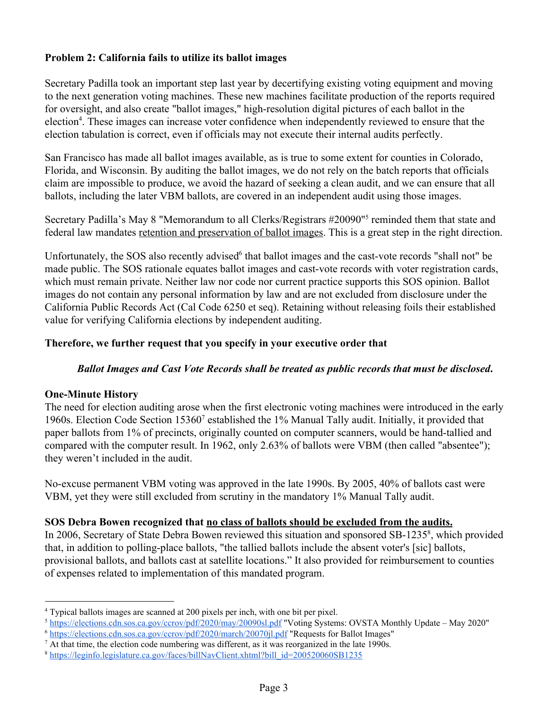## **Problem 2: California fails to utilize its ballot images**

Secretary Padilla took an important step last year by decertifying existing voting equipment and moving to the next generation voting machines. These new machines facilitate production of the reports required for oversight, and also create "ballot images," high-resolution digital pictures of each ballot in the election<sup>4</sup>. These images can increase voter confidence when independently reviewed to ensure that the election tabulation is correct, even if officials may not execute their internal audits perfectly.

San Francisco has made all ballot images available, as is true to some extent for counties in Colorado, Florida, and Wisconsin. By auditing the ballot images, we do not rely on the batch reports that officials claim are impossible to produce, we avoid the hazard of seeking a clean audit, and we can ensure that all ballots, including the later VBM ballots, are covered in an independent audit using those images.

Secretary Padilla's May 8 "Memorandum to all Clerks/Registrars #20090"<sup>5</sup> reminded them that state and federal law mandates retention and preservation of ballot images. This is a great step in the right direction.

Unfortunately, the SOS also recently advised<sup>6</sup> that ballot images and the cast-vote records "shall not" be made public. The SOS rationale equates ballot images and cast-vote records with voter registration cards, which must remain private. Neither law nor code nor current practice supports this SOS opinion. Ballot images do not contain any personal information by law and are not excluded from disclosure under the California Public Records Act (Cal Code 6250 et seq). Retaining without releasing foils their established value for verifying California elections by independent auditing.

## **Therefore, we further request that you specify in your executive order that**

#### *Ballot Images and Cast Vote Records shall be treated as public records that must be disclosed***.**

#### **One-Minute History**

The need for election auditing arose when the first electronic voting machines were introduced in the early 1960s. Election Code Section 15360<sup>7</sup> established the 1% Manual Tally audit. Initially, it provided that paper ballots from 1% of precincts, originally counted on computer scanners, would be hand-tallied and compared with the computer result. In 1962, only 2.63% of ballots were VBM (then called "absentee"); they weren't included in the audit.

No-excuse permanent VBM voting was approved in the late 1990s. By 2005, 40% of ballots cast were VBM, yet they were still excluded from scrutiny in the mandatory 1% Manual Tally audit.

#### **SOS Debra Bowen recognized that no class of ballots should be excluded from the audits.**

In 2006, Secretary of State Debra Bowen reviewed this situation and sponsored SB-1235<sup>8</sup>, which provided that, in addition to polling-place ballots, "the tallied ballots include the absent voter's [sic] ballots, provisional ballots, and ballots cast at satellite locations." It also provided for reimbursement to counties of expenses related to implementation of this mandated program.

<sup>4</sup> Typical ballots images are scanned at 200 pixels per inch, with one bit per pixel.

<sup>5</sup> <https://elections.cdn.sos.ca.gov/ccrov/pdf/2020/may/20090sl.pdf> "Voting Systems: OVSTA Monthly Update – May 2020" <sup>6</sup> <https://elections.cdn.sos.ca.gov/ccrov/pdf/2020/march/20070jl.pdf> "Requests for Ballot Images"

 $<sup>7</sup>$  At that time, the election code numbering was different, as it was reorganized in the late 1990s.</sup>

<sup>8</sup> [https://leginfo.legislature.ca.gov/faces/billNavClient.xhtml?bill\\_id=200520060SB1235](https://leginfo.legislature.ca.gov/faces/billNavClient.xhtml?bill_id=200520060SB1235)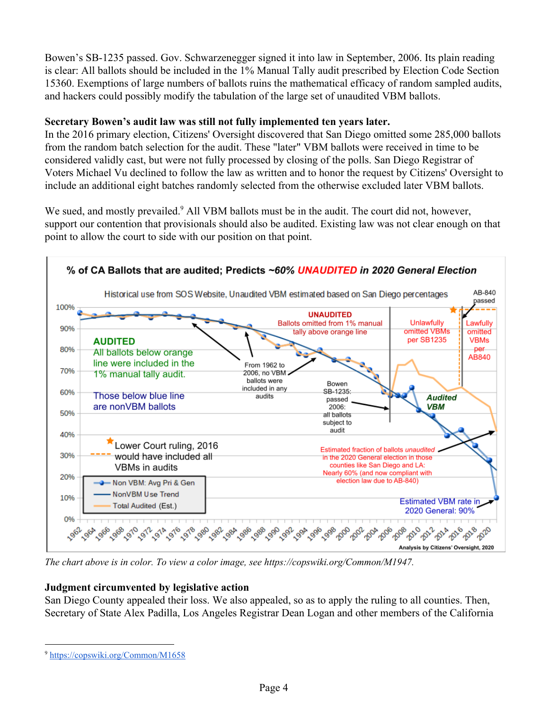Bowen's SB-1235 passed. Gov. Schwarzenegger signed it into law in September, 2006. Its plain reading is clear: All ballots should be included in the 1% Manual Tally audit prescribed by Election Code Section 15360. Exemptions of large numbers of ballots ruins the mathematical efficacy of random sampled audits, and hackers could possibly modify the tabulation of the large set of unaudited VBM ballots.

## **Secretary Bowen's audit law was still not fully implemented ten years later.**

In the 2016 primary election, Citizens' Oversight discovered that San Diego omitted some 285,000 ballots from the random batch selection for the audit. These "later" VBM ballots were received in time to be considered validly cast, but were not fully processed by closing of the polls. San Diego Registrar of Voters Michael Vu declined to follow the law as written and to honor the request by Citizens' Oversight to include an additional eight batches randomly selected from the otherwise excluded later VBM ballots.

We sued, and mostly prevailed.<sup>9</sup> All VBM ballots must be in the audit. The court did not, however, support our contention that provisionals should also be audited. Existing law was not clear enough on that point to allow the court to side with our position on that point.



*The chart above is in color. To view a color image, see https://copswiki.org/Common/M1947.*

# **Judgment circumvented by legislative action**

San Diego County appealed their loss. We also appealed, so as to apply the ruling to all counties. Then, Secretary of State Alex Padilla, Los Angeles Registrar Dean Logan and other members of the California

<sup>9</sup> <https://copswiki.org/Common/M1658>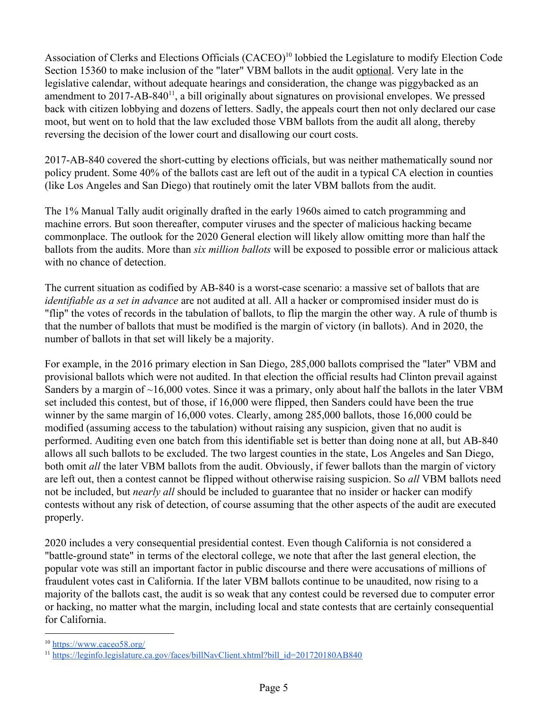Association of Clerks and Elections Officials (CACEO)<sup>10</sup> lobbied the Legislature to modify Election Code Section 15360 to make inclusion of the "later" VBM ballots in the audit optional. Very late in the legislative calendar, without adequate hearings and consideration, the change was piggybacked as an amendment to  $2017$ -AB-840<sup>11</sup>, a bill originally about signatures on provisional envelopes. We pressed back with citizen lobbying and dozens of letters. Sadly, the appeals court then not only declared our case moot, but went on to hold that the law excluded those VBM ballots from the audit all along, thereby reversing the decision of the lower court and disallowing our court costs.

2017-AB-840 covered the short-cutting by elections officials, but was neither mathematically sound nor policy prudent. Some 40% of the ballots cast are left out of the audit in a typical CA election in counties (like Los Angeles and San Diego) that routinely omit the later VBM ballots from the audit.

The 1% Manual Tally audit originally drafted in the early 1960s aimed to catch programming and machine errors. But soon thereafter, computer viruses and the specter of malicious hacking became commonplace. The outlook for the 2020 General election will likely allow omitting more than half the ballots from the audits. More than *six million ballots* will be exposed to possible error or malicious attack with no chance of detection.

The current situation as codified by AB-840 is a worst-case scenario: a massive set of ballots that are *identifiable as a set in advance* are not audited at all. All a hacker or compromised insider must do is "flip" the votes of records in the tabulation of ballots, to flip the margin the other way. A rule of thumb is that the number of ballots that must be modified is the margin of victory (in ballots). And in 2020, the number of ballots in that set will likely be a majority.

For example, in the 2016 primary election in San Diego, 285,000 ballots comprised the "later" VBM and provisional ballots which were not audited. In that election the official results had Clinton prevail against Sanders by a margin of  $\sim$ 16,000 votes. Since it was a primary, only about half the ballots in the later VBM set included this contest, but of those, if 16,000 were flipped, then Sanders could have been the true winner by the same margin of 16,000 votes. Clearly, among 285,000 ballots, those 16,000 could be modified (assuming access to the tabulation) without raising any suspicion, given that no audit is performed. Auditing even one batch from this identifiable set is better than doing none at all, but AB-840 allows all such ballots to be excluded. The two largest counties in the state, Los Angeles and San Diego, both omit *all* the later VBM ballots from the audit. Obviously, if fewer ballots than the margin of victory are left out, then a contest cannot be flipped without otherwise raising suspicion. So *all* VBM ballots need not be included, but *nearly all* should be included to guarantee that no insider or hacker can modify contests without any risk of detection, of course assuming that the other aspects of the audit are executed properly.

2020 includes a very consequential presidential contest. Even though California is not considered a "battle-ground state" in terms of the electoral college, we note that after the last general election, the popular vote was still an important factor in public discourse and there were accusations of millions of fraudulent votes cast in California. If the later VBM ballots continue to be unaudited, now rising to a majority of the ballots cast, the audit is so weak that any contest could be reversed due to computer error or hacking, no matter what the margin, including local and state contests that are certainly consequential for California.

<sup>10</sup> <https://www.caceo58.org/>

<sup>11</sup> [https://leginfo.legislature.ca.gov/faces/billNavClient.xhtml?bill\\_id=201720180AB840](https://leginfo.legislature.ca.gov/faces/billNavClient.xhtml?bill_id=201720180AB840)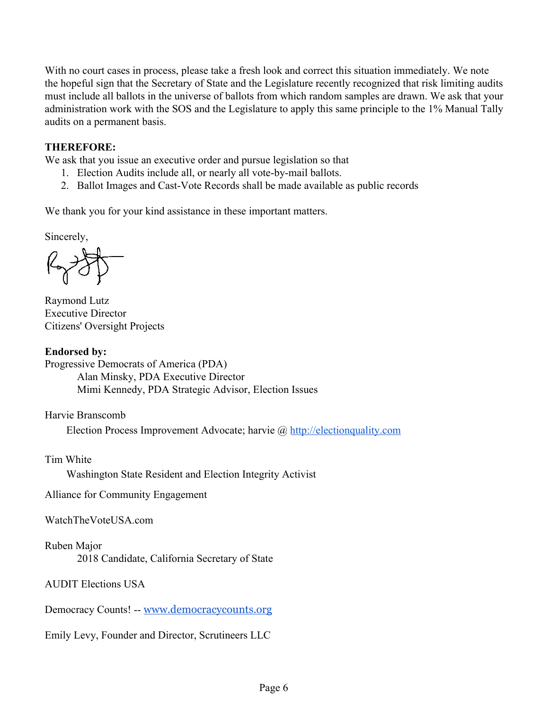With no court cases in process, please take a fresh look and correct this situation immediately. We note the hopeful sign that the Secretary of State and the Legislature recently recognized that risk limiting audits must include all ballots in the universe of ballots from which random samples are drawn. We ask that your administration work with the SOS and the Legislature to apply this same principle to the 1% Manual Tally audits on a permanent basis.

#### **THEREFORE:**

We ask that you issue an executive order and pursue legislation so that

- 1. Election Audits include all, or nearly all vote-by-mail ballots.
- 2. Ballot Images and Cast-Vote Records shall be made available as public records

We thank you for your kind assistance in these important matters.

Sincerely,

Raymond Lutz Executive Director Citizens' Oversight Projects

**Endorsed by:** Progressive Democrats of America (PDA) Alan Minsky, PDA Executive Director Mimi Kennedy, PDA Strategic Advisor, Election Issues

Harvie Branscomb

Election Process Improvement Advocate; harvie @ [http://electionquality.com](http://electionquality.com/)

Tim White

Washington State Resident and Election Integrity Activist

Alliance for Community Engagement

WatchTheVoteUSA.com

Ruben Major

2018 Candidate, California Secretary of State

AUDIT Elections USA

Democracy Counts! -- [www.democracycounts.org](http://www.democracycounts.org/)

Emily Levy, Founder and Director, Scrutineers LLC